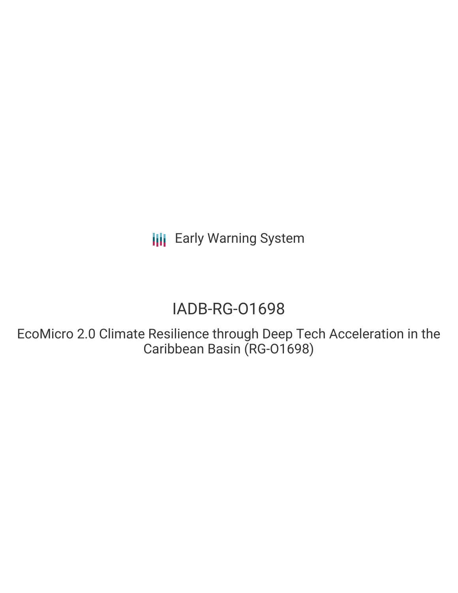## IADB-RG-O1698

EcoMicro 2.0 Climate Resilience through Deep Tech Acceleration in the Caribbean Basin (RG-O1698)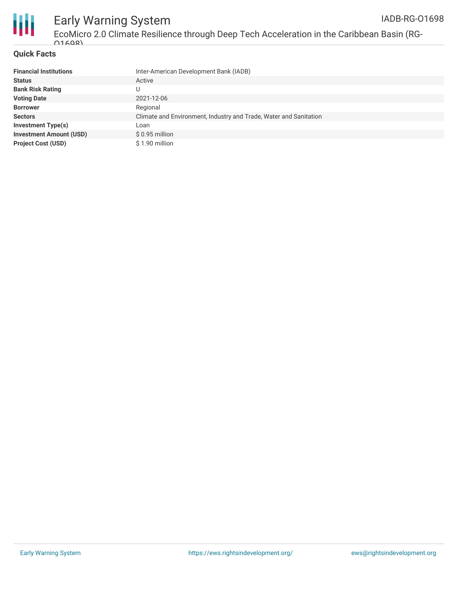

EcoMicro 2.0 Climate Resilience through Deep Tech Acceleration in the Caribbean Basin (RG- $01608$ 

### **Quick Facts**

| <b>Financial Institutions</b>  | Inter-American Development Bank (IADB)                            |  |  |  |  |
|--------------------------------|-------------------------------------------------------------------|--|--|--|--|
| <b>Status</b>                  | Active                                                            |  |  |  |  |
| <b>Bank Risk Rating</b>        |                                                                   |  |  |  |  |
| <b>Voting Date</b>             | 2021-12-06                                                        |  |  |  |  |
| <b>Borrower</b>                | Regional                                                          |  |  |  |  |
| <b>Sectors</b>                 | Climate and Environment, Industry and Trade, Water and Sanitation |  |  |  |  |
| Investment Type(s)             | Loan                                                              |  |  |  |  |
| <b>Investment Amount (USD)</b> | $$0.95$ million                                                   |  |  |  |  |
| <b>Project Cost (USD)</b>      | \$1.90 million                                                    |  |  |  |  |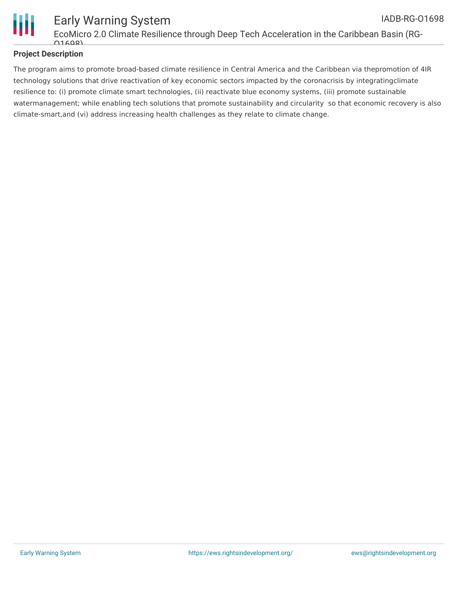

### **Project Description**

The program aims to promote broad-based climate resilience in Central America and the Caribbean via thepromotion of 4IR technology solutions that drive reactivation of key economic sectors impacted by the coronacrisis by integratingclimate resilience to: (i) promote climate smart technologies, (ii) reactivate blue economy systems, (iii) promote sustainable watermanagement; while enabling tech solutions that promote sustainability and circularity so that economic recovery is also climate-smart,and (vi) address increasing health challenges as they relate to climate change.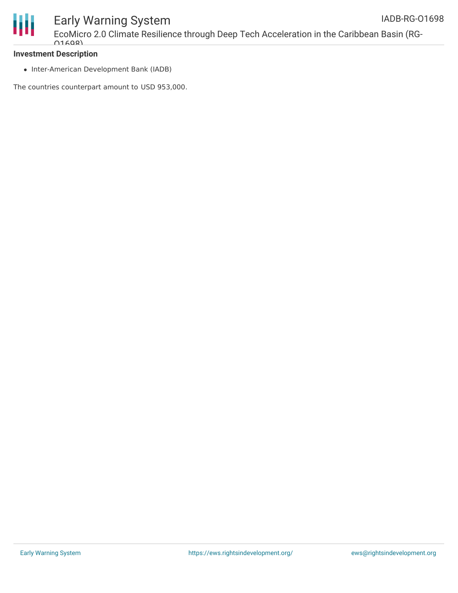

EcoMicro 2.0 Climate Resilience through Deep Tech Acceleration in the Caribbean Basin (RG- $01608$ 

#### **Investment Description**

• Inter-American Development Bank (IADB)

The countries counterpart amount to USD 953,000.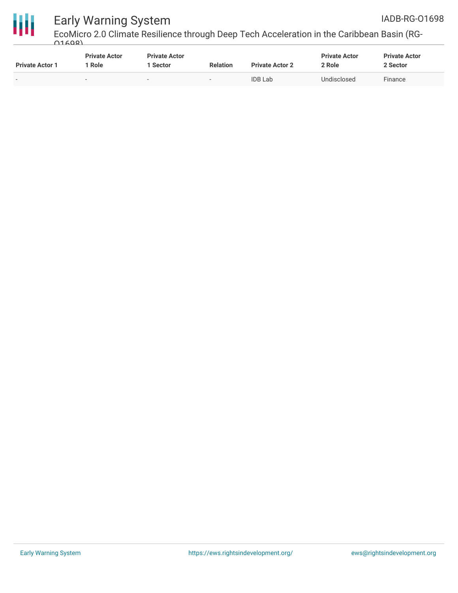



EcoMicro 2.0 Climate Resilience through Deep Tech Acceleration in the Caribbean Basin (RG- $01608$ 

| <b>Private Actor 1</b> | <b>Private Actor</b><br>Role | <b>Private Actor</b><br>Sector | <b>Relation</b>          | <b>Private Actor 2</b> | <b>Private Actor</b><br><u>ን Role</u> | <b>Private Actor</b><br>2 Sector |
|------------------------|------------------------------|--------------------------------|--------------------------|------------------------|---------------------------------------|----------------------------------|
|                        | $\overline{\phantom{a}}$     |                                | $\overline{\phantom{a}}$ | <b>IDB</b> Lab         | Undisclosed                           | Finance                          |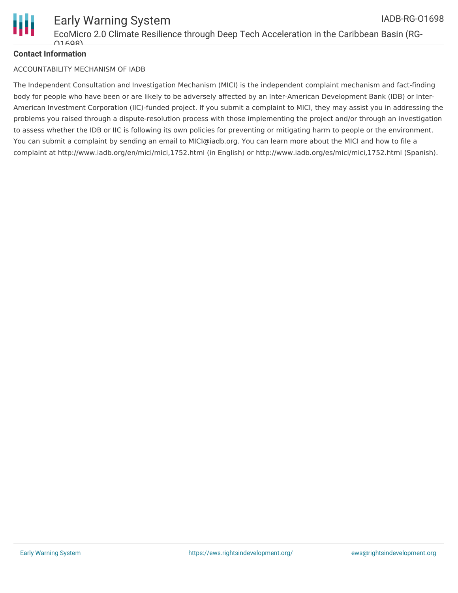

### **Contact Information**

#### ACCOUNTABILITY MECHANISM OF IADB

The Independent Consultation and Investigation Mechanism (MICI) is the independent complaint mechanism and fact-finding body for people who have been or are likely to be adversely affected by an Inter-American Development Bank (IDB) or Inter-American Investment Corporation (IIC)-funded project. If you submit a complaint to MICI, they may assist you in addressing the problems you raised through a dispute-resolution process with those implementing the project and/or through an investigation to assess whether the IDB or IIC is following its own policies for preventing or mitigating harm to people or the environment. You can submit a complaint by sending an email to MICI@iadb.org. You can learn more about the MICI and how to file a complaint at http://www.iadb.org/en/mici/mici,1752.html (in English) or http://www.iadb.org/es/mici/mici,1752.html (Spanish).